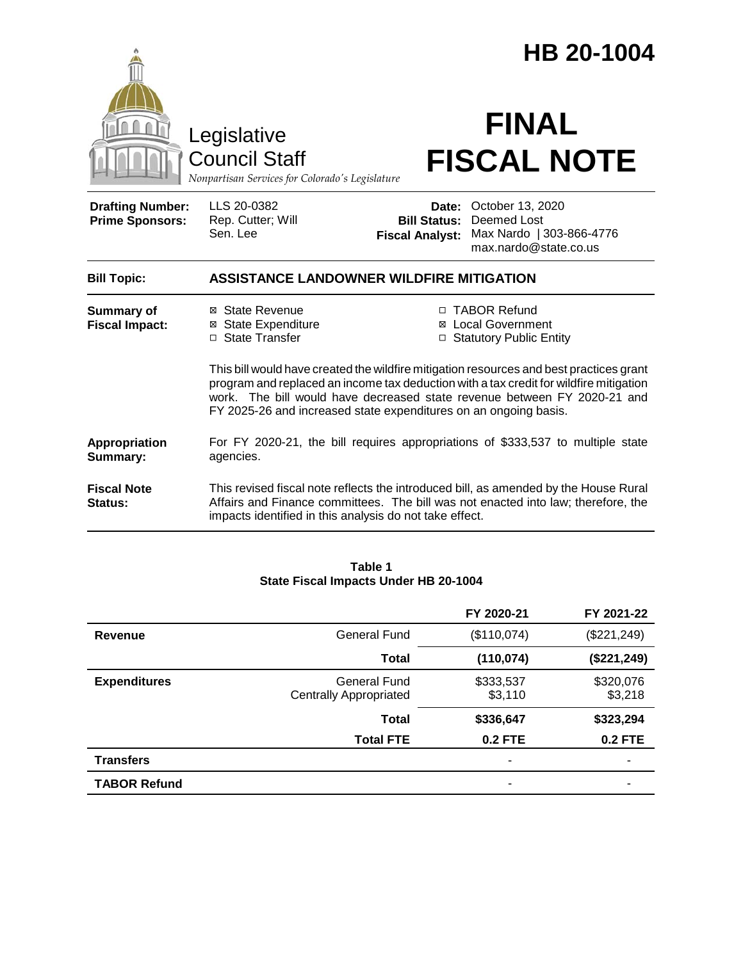|                                                   |                                                                                                                                                                                                                                                                                                                                   |                                                        | HB 20-1004                                                                                                                                                                |
|---------------------------------------------------|-----------------------------------------------------------------------------------------------------------------------------------------------------------------------------------------------------------------------------------------------------------------------------------------------------------------------------------|--------------------------------------------------------|---------------------------------------------------------------------------------------------------------------------------------------------------------------------------|
|                                                   | Legislative<br><b>Council Staff</b><br>Nonpartisan Services for Colorado's Legislature                                                                                                                                                                                                                                            |                                                        | <b>FINAL</b><br><b>FISCAL NOTE</b>                                                                                                                                        |
| <b>Drafting Number:</b><br><b>Prime Sponsors:</b> | LLS 20-0382<br>Rep. Cutter; Will<br>Sen. Lee                                                                                                                                                                                                                                                                                      | Date:<br><b>Bill Status:</b><br><b>Fiscal Analyst:</b> | October 13, 2020<br>Deemed Lost<br>Max Nardo   303-866-4776<br>max.nardo@state.co.us                                                                                      |
| <b>Bill Topic:</b>                                | <b>ASSISTANCE LANDOWNER WILDFIRE MITIGATION</b>                                                                                                                                                                                                                                                                                   |                                                        |                                                                                                                                                                           |
| <b>Summary of</b><br><b>Fiscal Impact:</b>        | ⊠ State Revenue<br><b>⊠</b> State Expenditure<br>□ State Transfer                                                                                                                                                                                                                                                                 |                                                        | □ TABOR Refund<br><b>⊠</b> Local Government<br>□ Statutory Public Entity                                                                                                  |
|                                                   | This bill would have created the wildfire mitigation resources and best practices grant<br>program and replaced an income tax deduction with a tax credit for wildfire mitigation<br>work. The bill would have decreased state revenue between FY 2020-21 and<br>FY 2025-26 and increased state expenditures on an ongoing basis. |                                                        |                                                                                                                                                                           |
| Appropriation<br>Summary:                         | agencies.                                                                                                                                                                                                                                                                                                                         |                                                        | For FY 2020-21, the bill requires appropriations of \$333,537 to multiple state                                                                                           |
| <b>Fiscal Note</b><br>Status:                     | impacts identified in this analysis do not take effect.                                                                                                                                                                                                                                                                           |                                                        | This revised fiscal note reflects the introduced bill, as amended by the House Rural<br>Affairs and Finance committees. The bill was not enacted into law; therefore, the |

### **Table 1 State Fiscal Impacts Under HB 20-1004**

|                     |                                                      | FY 2020-21           | FY 2021-22           |
|---------------------|------------------------------------------------------|----------------------|----------------------|
| Revenue             | General Fund                                         | (\$110,074)          | (\$221, 249)         |
|                     | <b>Total</b>                                         | (110, 074)           | (\$221, 249)         |
| <b>Expenditures</b> | <b>General Fund</b><br><b>Centrally Appropriated</b> | \$333,537<br>\$3,110 | \$320,076<br>\$3,218 |
|                     | <b>Total</b>                                         | \$336,647            | \$323,294            |
|                     | <b>Total FTE</b>                                     | <b>0.2 FTE</b>       | <b>0.2 FTE</b>       |
| <b>Transfers</b>    |                                                      | ۰                    |                      |
| <b>TABOR Refund</b> |                                                      | ۰                    |                      |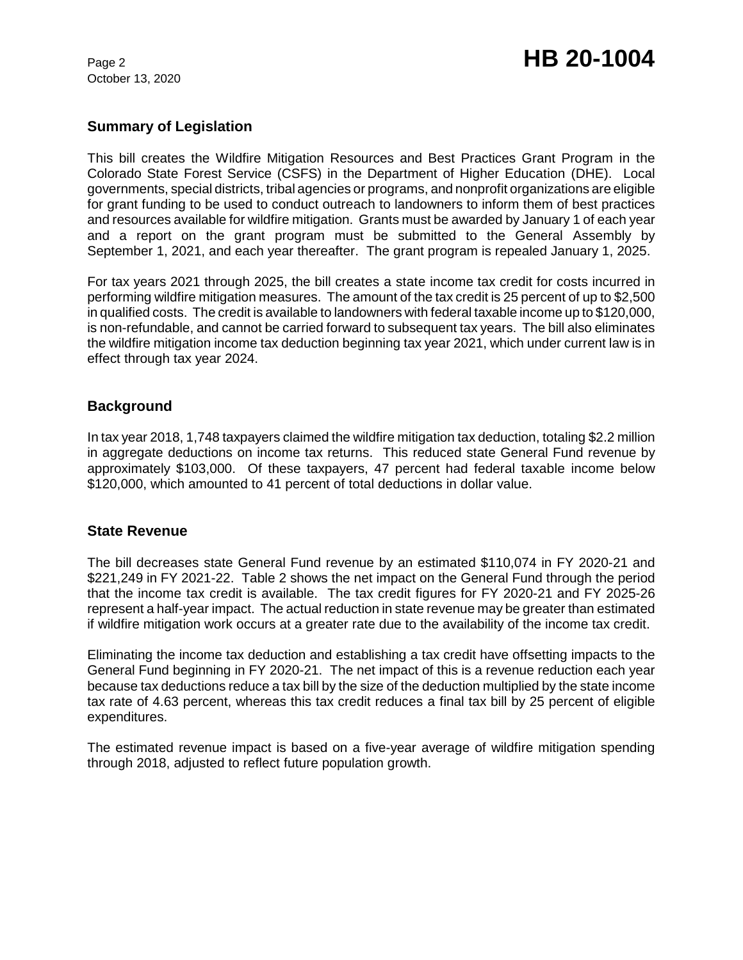October 13, 2020

# Page 2 **HB 20-1004**

# **Summary of Legislation**

This bill creates the Wildfire Mitigation Resources and Best Practices Grant Program in the Colorado State Forest Service (CSFS) in the Department of Higher Education (DHE). Local governments, special districts, tribal agencies or programs, and nonprofit organizations are eligible for grant funding to be used to conduct outreach to landowners to inform them of best practices and resources available for wildfire mitigation. Grants must be awarded by January 1 of each year and a report on the grant program must be submitted to the General Assembly by September 1, 2021, and each year thereafter. The grant program is repealed January 1, 2025.

For tax years 2021 through 2025, the bill creates a state income tax credit for costs incurred in performing wildfire mitigation measures. The amount of the tax credit is 25 percent of up to \$2,500 in qualified costs. The credit is available to landowners with federal taxable income up to \$120,000, is non-refundable, and cannot be carried forward to subsequent tax years. The bill also eliminates the wildfire mitigation income tax deduction beginning tax year 2021, which under current law is in effect through tax year 2024.

# **Background**

In tax year 2018, 1,748 taxpayers claimed the wildfire mitigation tax deduction, totaling \$2.2 million in aggregate deductions on income tax returns. This reduced state General Fund revenue by approximately \$103,000. Of these taxpayers, 47 percent had federal taxable income below \$120,000, which amounted to 41 percent of total deductions in dollar value.

# **State Revenue**

The bill decreases state General Fund revenue by an estimated \$110,074 in FY 2020-21 and \$221,249 in FY 2021-22. Table 2 shows the net impact on the General Fund through the period that the income tax credit is available. The tax credit figures for FY 2020-21 and FY 2025-26 represent a half-year impact. The actual reduction in state revenue may be greater than estimated if wildfire mitigation work occurs at a greater rate due to the availability of the income tax credit.

Eliminating the income tax deduction and establishing a tax credit have offsetting impacts to the General Fund beginning in FY 2020-21. The net impact of this is a revenue reduction each year because tax deductions reduce a tax bill by the size of the deduction multiplied by the state income tax rate of 4.63 percent, whereas this tax credit reduces a final tax bill by 25 percent of eligible expenditures.

The estimated revenue impact is based on a five-year average of wildfire mitigation spending through 2018, adjusted to reflect future population growth.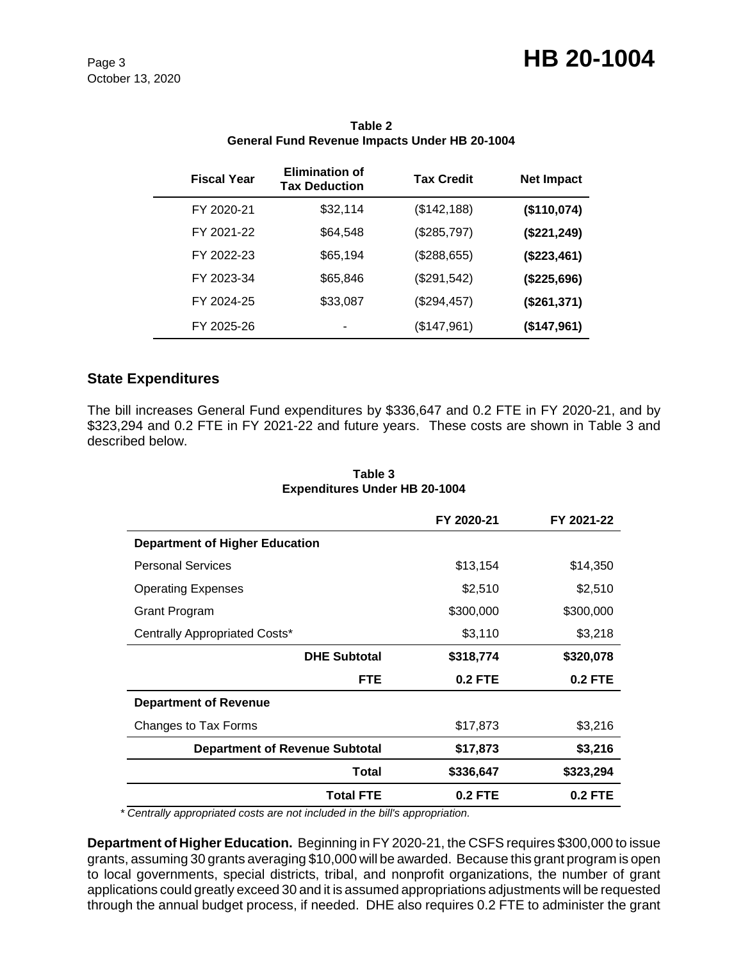# Page 3 **HB 20-1004**

October 13, 2020

| <b>Fiscal Year</b> | <b>Elimination of</b><br><b>Tax Deduction</b> | <b>Tax Credit</b> | <b>Net Impact</b> |
|--------------------|-----------------------------------------------|-------------------|-------------------|
| FY 2020-21         | \$32,114                                      | (\$142, 188)      | (\$110,074)       |
| FY 2021-22         | \$64.548                                      | (\$285,797)       | (\$221, 249)      |
| FY 2022-23         | \$65,194                                      | (\$288,655)       | (\$223,461)       |
| FY 2023-34         | \$65,846                                      | (\$291,542)       | (\$225,696)       |
| FY 2024-25         | \$33,087                                      | (\$294,457)       | (\$261,371)       |
| FY 2025-26         |                                               | (\$147,961)       | (\$147,961)       |

### **Table 2 General Fund Revenue Impacts Under HB 20-1004**

# **State Expenditures**

 $\overline{\phantom{0}}$ 

The bill increases General Fund expenditures by \$336,647 and 0.2 FTE in FY 2020-21, and by \$323,294 and 0.2 FTE in FY 2021-22 and future years. These costs are shown in Table 3 and described below.

|                                       | FY 2020-21     | FY 2021-22     |
|---------------------------------------|----------------|----------------|
| <b>Department of Higher Education</b> |                |                |
| <b>Personal Services</b>              | \$13,154       | \$14,350       |
| <b>Operating Expenses</b>             | \$2,510        | \$2,510        |
| Grant Program                         | \$300,000      | \$300,000      |
| Centrally Appropriated Costs*         | \$3,110        | \$3,218        |
| <b>DHE Subtotal</b>                   | \$318,774      | \$320,078      |
| <b>FTE</b>                            | <b>0.2 FTE</b> | <b>0.2 FTE</b> |
| <b>Department of Revenue</b>          |                |                |
| Changes to Tax Forms                  | \$17,873       | \$3,216        |
| <b>Department of Revenue Subtotal</b> | \$17,873       | \$3,216        |
| Total                                 | \$336,647      | \$323,294      |
| <b>Total FTE</b>                      | $0.2$ FTE      | 0.2 FTE        |

#### **Table 3 Expenditures Under HB 20-1004**

 *\* Centrally appropriated costs are not included in the bill's appropriation.*

**Department of Higher Education.** Beginning in FY 2020-21, the CSFS requires \$300,000 to issue grants, assuming 30 grants averaging \$10,000 will be awarded. Because this grant program is open to local governments, special districts, tribal, and nonprofit organizations, the number of grant applications could greatly exceed 30 and it is assumed appropriations adjustments will be requested through the annual budget process, if needed. DHE also requires 0.2 FTE to administer the grant